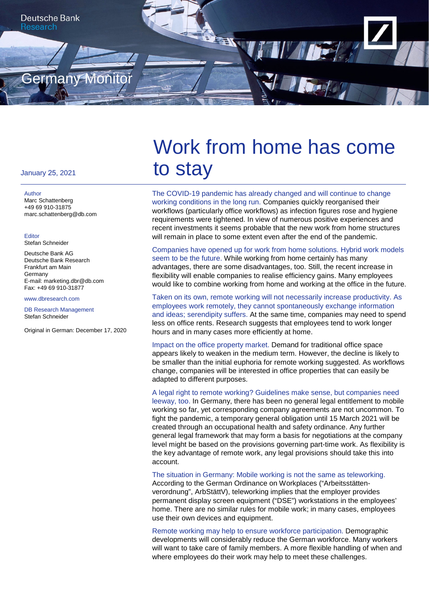

### January 25, 2021

#### Author

Marc Schattenberg +49 69 910-31875 marc.schattenberg@db.com

#### Editor

Stefan Schneider

Deutsche Bank AG Deutsche Bank Research Frankfurt am Main Germany E-mail: marketing.dbr@db.com Fax: +49 69 910-31877

#### www.dbresearch.com

DB Research Management Stefan Schneider

Original in German: December 17, 2020

# Work from home has come to stay

The COVID-19 pandemic has already changed and will continue to change working conditions in the long run. Companies quickly reorganised their workflows (particularly office workflows) as infection figures rose and hygiene requirements were tightened. In view of numerous positive experiences and recent investments it seems probable that the new work from home structures will remain in place to some extent even after the end of the pandemic.

Companies have opened up for work from home solutions. Hybrid work models seem to be the future. While working from home certainly has many advantages, there are some disadvantages, too. Still, the recent increase in flexibility will enable companies to realise efficiency gains. Many employees would like to combine working from home and working at the office in the future.

Taken on its own, remote working will not necessarily increase productivity. As employees work remotely, they cannot spontaneously exchange information and ideas; serendipity suffers. At the same time, companies may need to spend less on office rents. Research suggests that employees tend to work longer hours and in many cases more efficiently at home.

Impact on the office property market. Demand for traditional office space appears likely to weaken in the medium term. However, the decline is likely to be smaller than the initial euphoria for remote working suggested. As workflows change, companies will be interested in office properties that can easily be adapted to different purposes.

A legal right to remote working? Guidelines make sense, but companies need leeway, too. In Germany, there has been no general legal entitlement to mobile working so far, yet corresponding company agreements are not uncommon. To fight the pandemic, a temporary general obligation until 15 March 2021 will be created through an occupational health and safety ordinance. Any further general legal framework that may form a basis for negotiations at the company level might be based on the provisions governing part-time work. As flexibility is the key advantage of remote work, any legal provisions should take this into account.

The situation in Germany: Mobile working is not the same as teleworking. According to the German Ordinance on Workplaces ("Arbeitsstättenverordnung", ArbStättV), teleworking implies that the employer provides permanent display screen equipment ("DSE") workstations in the employees' home. There are no similar rules for mobile work; in many cases, employees use their own devices and equipment.

Remote working may help to ensure workforce participation. Demographic developments will considerably reduce the German workforce. Many workers will want to take care of family members. A more flexible handling of when and where employees do their work may help to meet these challenges.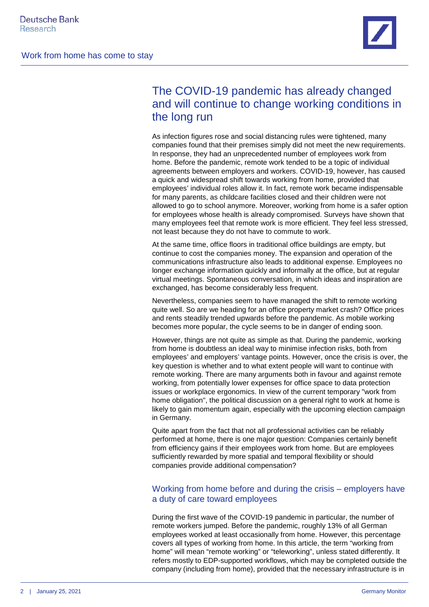

# The COVID-19 pandemic has already changed and will continue to change working conditions in the long run

As infection figures rose and social distancing rules were tightened, many companies found that their premises simply did not meet the new requirements. In response, they had an unprecedented number of employees work from home. Before the pandemic, remote work tended to be a topic of individual agreements between employers and workers. COVID-19, however, has caused a quick and widespread shift towards working from home, provided that employees' individual roles allow it. In fact, remote work became indispensable for many parents, as childcare facilities closed and their children were not allowed to go to school anymore. Moreover, working from home is a safer option for employees whose health is already compromised. Surveys have shown that many employees feel that remote work is more efficient. They feel less stressed, not least because they do not have to commute to work.

At the same time, office floors in traditional office buildings are empty, but continue to cost the companies money. The expansion and operation of the communications infrastructure also leads to additional expense. Employees no longer exchange information quickly and informally at the office, but at regular virtual meetings. Spontaneous conversation, in which ideas and inspiration are exchanged, has become considerably less frequent.

Nevertheless, companies seem to have managed the shift to remote working quite well. So are we heading for an office property market crash? Office prices and rents steadily trended upwards before the pandemic. As mobile working becomes more popular, the cycle seems to be in danger of ending soon.

However, things are not quite as simple as that. During the pandemic, working from home is doubtless an ideal way to minimise infection risks, both from employees' and employers' vantage points. However, once the crisis is over, the key question is whether and to what extent people will want to continue with remote working. There are many arguments both in favour and against remote working, from potentially lower expenses for office space to data protection issues or workplace ergonomics. In view of the current temporary "work from home obligation", the political discussion on a general right to work at home is likely to gain momentum again, especially with the upcoming election campaign in Germany.

Quite apart from the fact that not all professional activities can be reliably performed at home, there is one major question: Companies certainly benefit from efficiency gains if their employees work from home. But are employees sufficiently rewarded by more spatial and temporal flexibility or should companies provide additional compensation?

# Working from home before and during the crisis – employers have a duty of care toward employees

During the first wave of the COVID-19 pandemic in particular, the number of remote workers jumped. Before the pandemic, roughly 13% of all German employees worked at least occasionally from home. However, this percentage covers all types of working from home. In this article, the term "working from home" will mean "remote working" or "teleworking", unless stated differently. It refers mostly to EDP-supported workflows, which may be completed outside the company (including from home), provided that the necessary infrastructure is in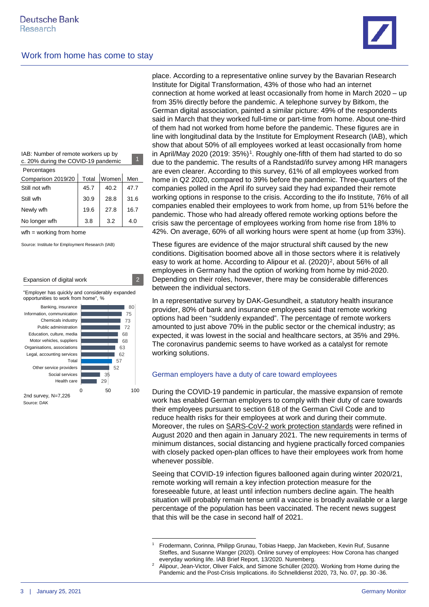

IAB: Number of remote workers up by c. 20% during the COVID-19 pandemic

| Percentages        |       |       |      |
|--------------------|-------|-------|------|
| Comparison 2019/20 | Total | Women | Men  |
| Still not wfh      | 45.7  | 40.2  | 47.7 |
| Still wfh          | 30.9  | 28.8  | 31.6 |
| Newly wfh          | 19.6  | 27.8  | 16.7 |
| No longer wfh      | 3.8   | 3.2   | 4.0  |
|                    |       |       |      |

wfh = working from home

Source: Institute for Employment Research (IAB)



place. According to a representative online survey by the Bavarian Research Institute for Digital Transformation, 43% of those who had an internet connection at home worked at least occasionally from home in March 2020 – up from 35% directly before the pandemic. A telephone survey by Bitkom, the German digital association, painted a similar picture: 49% of the respondents said in March that they worked full-time or part-time from home. About one-third of them had not worked from home before the pandemic. These figures are in line with longitudinal data by the Institute for Employment Research (IAB), which show that about 50% of all employees worked at least occasionally from home in April/May 2020 (2019: 35%)<sup>1</sup>. Roughly one-fifth of them had started to do so due to the pandemic. The results of a Randstad/ifo survey among HR managers are even clearer. According to this survey, 61% of all employees worked from home in Q2 2020, compared to 39% before the pandemic. Three-quarters of the companies polled in the April ifo survey said they had expanded their remote working options in response to the crisis. According to the ifo Institute, 76% of all companies enabled their employees to work from home, up from 51% before the pandemic. Those who had already offered remote working options before the crisis saw the percentage of employees working from home rise from 18% to 42%. On average, 60% of all working hours were spent at home (up from 33%).

These figures are evidence of the major structural shift caused by the new conditions. Digitisation boomed above all in those sectors where it is relatively easy to work at home. According to Alipour et al. (2020)<sup>2</sup>, about 56% of all employees in Germany had the option of working from home by mid-2020. Depending on their roles, however, there may be considerable differences between the individual sectors.

In a representative survey by DAK-Gesundheit, a statutory health insurance provider, 80% of bank and insurance employees said that remote working options had been "suddenly expanded". The percentage of remote workers amounted to just above 70% in the public sector or the chemical industry; as expected, it was lowest in the social and healthcare sectors, at 35% and 29%. The coronavirus pandemic seems to have worked as a catalyst for remote working solutions.

### German employers have a duty of care toward employees

During the COVID-19 pandemic in particular, the massive expansion of remote work has enabled German employers to comply with their duty of care towards their employees pursuant to section 618 of the German Civil Code and to reduce health risks for their employees at work and during their commute. Moreover, the rules on [SARS-CoV-2 work protection standards](https://www.bmas.de/DE/Schwerpunkte/Informationen-Corona/Arbeitsschutz/arbeitsschutz-massnahmen.html;jsessionid=D656C8DE4BBC718A9E364BB005E990BC.delivery1-master) were refined in August 2020 and then again in January 2021. The new requirements in terms of minimum distances, social distancing and hygiene practically forced companies with closely packed open-plan offices to have their employees work from home whenever possible.

Seeing that COVID-19 infection figures ballooned again during winter 2020/21, remote working will remain a key infection protection measure for the foreseeable future, at least until infection numbers decline again. The health situation will probably remain tense until a vaccine is broadly available or a large percentage of the population has been vaccinated. The recent news suggest that this will be the case in second half of 2021.

<span id="page-2-0"></span><sup>1</sup> Frodermann, Corinna, Philipp Grunau, Tobias Haepp, Jan Mackeben, Kevin Ruf, Susanne Steffes, and Susanne Wanger (2020). Online survey of employees: How Corona has changed everyday working life. IAB Brief Report, 13/2020. Nuremberg.

<span id="page-2-1"></span><sup>2</sup> Alipour, Jean-Victor, Oliver Falck, and Simone Schüller (2020). Working from Home during the Pandemic and the Post-Crisis Implications. ifo Schnelldienst 2020, 73, No. 07, pp. 30 -36.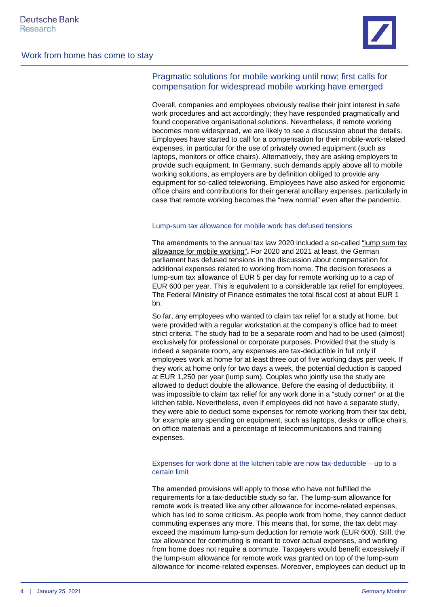

# Pragmatic solutions for mobile working until now; first calls for compensation for widespread mobile working have emerged

Overall, companies and employees obviously realise their joint interest in safe work procedures and act accordingly; they have responded pragmatically and found cooperative organisational solutions. Nevertheless, if remote working becomes more widespread, we are likely to see a discussion about the details. Employees have started to call for a compensation for their mobile-work-related expenses, in particular for the use of privately owned equipment (such as laptops, monitors or office chairs). Alternatively, they are asking employers to provide such equipment. In Germany, such demands apply above all to mobile working solutions, as employers are by definition obliged to provide any equipment for so-called teleworking. Employees have also asked for ergonomic office chairs and contributions for their general ancillary expenses, particularly in case that remote working becomes the "new normal" even after the pandemic.

### Lump-sum tax allowance for mobile work has defused tensions

The amendments to the annual tax law 2020 included a so-called ["lump sum tax](https://www.bundestag.de/dokumente/textarchiv/2020/kw51-de-jahressteuergesetz-2020-812872)  [allowance for mobile working"](https://www.bundestag.de/dokumente/textarchiv/2020/kw51-de-jahressteuergesetz-2020-812872)**.** For 2020 and 2021 at least, the German parliament has defused tensions in the discussion about compensation for additional expenses related to working from home. The decision foresees a lump-sum tax allowance of EUR 5 per day for remote working up to a cap of EUR 600 per year. This is equivalent to a considerable tax relief for employees. The Federal Ministry of Finance estimates the total fiscal cost at about EUR 1 bn.

So far, any employees who wanted to claim tax relief for a study at home, but were provided with a regular workstation at the company's office had to meet strict criteria. The study had to be a separate room and had to be used (almost) exclusively for professional or corporate purposes. Provided that the study is indeed a separate room, any expenses are tax-deductible in full only if employees work at home for at least three out of five working days per week. If they work at home only for two days a week, the potential deduction is capped at EUR 1,250 per year (lump sum). Couples who jointly use the study are allowed to deduct double the allowance. Before the easing of deductibility, it was impossible to claim tax relief for any work done in a "study corner" or at the kitchen table. Nevertheless, even if employees did not have a separate study, they were able to deduct some expenses for remote working from their tax debt, for example any spending on equipment, such as laptops, desks or office chairs, on office materials and a percentage of telecommunications and training expenses.

### Expenses for work done at the kitchen table are now tax-deductible – up to a certain limit

The amended provisions will apply to those who have not fulfilled the requirements for a tax-deductible study so far. The lump-sum allowance for remote work is treated like any other allowance for income-related expenses, which has led to some criticism. As people work from home, they cannot deduct commuting expenses any more. This means that, for some, the tax debt may exceed the maximum lump-sum deduction for remote work (EUR 600). Still, the tax allowance for commuting is meant to cover actual expenses, and working from home does not require a commute. Taxpayers would benefit excessively if the lump-sum allowance for remote work was granted on top of the lump-sum allowance for income-related expenses. Moreover, employees can deduct up to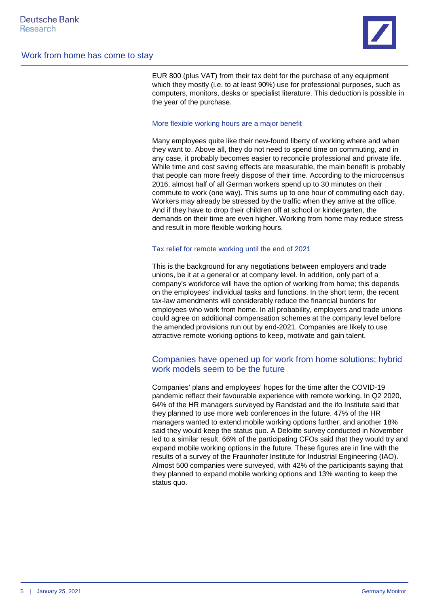

EUR 800 (plus VAT) from their tax debt for the purchase of any equipment which they mostly (i.e. to at least 90%) use for professional purposes, such as computers, monitors, desks or specialist literature. This deduction is possible in the year of the purchase.

### More flexible working hours are a major benefit

Many employees quite like their new-found liberty of working where and when they want to. Above all, they do not need to spend time on commuting, and in any case, it probably becomes easier to reconcile professional and private life. While time and cost saving effects are measurable, the main benefit is probably that people can more freely dispose of their time. According to the microcensus 2016, almost half of all German workers spend up to 30 minutes on their commute to work (one way). This sums up to one hour of commuting each day. Workers may already be stressed by the traffic when they arrive at the office. And if they have to drop their children off at school or kindergarten, the demands on their time are even higher. Working from home may reduce stress and result in more flexible working hours.

### Tax relief for remote working until the end of 2021

This is the background for any negotiations between employers and trade unions, be it at a general or at company level. In addition, only part of a company's workforce will have the option of working from home; this depends on the employees' individual tasks and functions. In the short term, the recent tax-law amendments will considerably reduce the financial burdens for employees who work from home. In all probability, employers and trade unions could agree on additional compensation schemes at the company level before the amended provisions run out by end-2021. Companies are likely to use attractive remote working options to keep, motivate and gain talent.

## Companies have opened up for work from home solutions; hybrid work models seem to be the future

Companies' plans and employees' hopes for the time after the COVID-19 pandemic reflect their favourable experience with remote working. In Q2 2020, 64% of the HR managers surveyed by Randstad and the ifo Institute said that they planned to use more web conferences in the future. 47% of the HR managers wanted to extend mobile working options further, and another 18% said they would keep the status quo. A Deloitte survey conducted in November led to a similar result. 66% of the participating CFOs said that they would try and expand mobile working options in the future. These figures are in line with the results of a survey of the Fraunhofer Institute for Industrial Engineering (IAO). Almost 500 companies were surveyed, with 42% of the participants saying that they planned to expand mobile working options and 13% wanting to keep the status quo.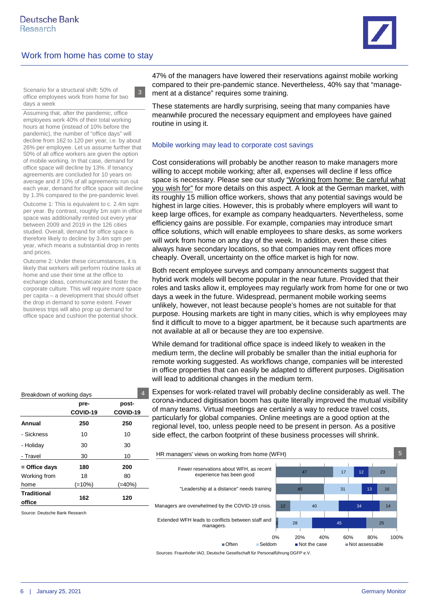3



Scenario for a structural shift: 50% of office employees work from home for two days a week

Assuming that, after the pandemic, office employees work 40% of their total working hours at home (instead of 10% before the pandemic), the number of "office days" will decline from 162 to 120 per year, i.e. by about 26% per employee. Let us assume further that 50% of all office workers are given the option of mobile working. In that case, demand for office space will decline by 13%. If tenancy agreements are concluded for 10 years on average and if 10% of all agreements run out each year, demand for office space will decline by 1.3% compared to the pre-pandemic level.

Outcome 1: This is equivalent to c. 2.4m sqm per year. By contrast, roughly 1m sqm in office space was additionally rented out every year between 2009 and 2019 in the 126 cities studied. Overall, demand for office space is therefore likely to decline by 3.4m sqm per year, which means a substantial drop in rents and prices.

Outcome 2: Under these circumstances, it is likely that workers will perform routine tasks at home and use their time at the office to exchange ideas, communicate and foster the corporate culture. This will require more space per capita – a development that should offset the drop in demand to some extent. Fewer business trips will also prop up demand for office space and cushion the potential shock.

47% of the managers have lowered their reservations against mobile working compared to their pre-pandemic stance. Nevertheless, 40% say that "management at a distance" requires some training.

These statements are hardly surprising, seeing that many companies have meanwhile procured the necessary equipment and employees have gained routine in using it.

### Mobile working may lead to corporate cost savings

Cost considerations will probably be another reason to make managers more willing to accept mobile working; after all, expenses will decline if less office space is necessary. Please see our study ["Working from home: Be careful what](http://www.dbresearch.de/PROD/RPS_DE-PROD/PROD0000000000512075/Arbeitswelt_der_Zukunft:_Ist_das_Homeoffice_wirkli.PDF?undefined&realload=wMmDv5e4t%7E1Hy19mCBeeniL4ZbeoyTRBkR1Zy4rA9xaYidJIWpxMjU28kZk%7EfbCbTC%7EIhXAc6EQ=)  [you wish for"](http://www.dbresearch.de/PROD/RPS_DE-PROD/PROD0000000000512075/Arbeitswelt_der_Zukunft:_Ist_das_Homeoffice_wirkli.PDF?undefined&realload=wMmDv5e4t%7E1Hy19mCBeeniL4ZbeoyTRBkR1Zy4rA9xaYidJIWpxMjU28kZk%7EfbCbTC%7EIhXAc6EQ=) for more details on this aspect. A look at the German market, with its roughly 15 million office workers, shows that any potential savings would be highest in large cities. However, this is probably where employers will want to keep large offices, for example as company headquarters. Nevertheless, some efficiency gains are possible. For example, companies may introduce smart office solutions, which will enable employees to share desks, as some workers will work from home on any day of the week. In addition, even these cities always have secondary locations, so that companies may rent offices more cheaply. Overall, uncertainty on the office market is high for now.

Both recent employee surveys and company announcements suggest that hybrid work models will become popular in the near future. Provided that their roles and tasks allow it, employees may regularly work from home for one or two days a week in the future. Widespread, permanent mobile working seems unlikely, however, not least because people's homes are not suitable for that purpose. Housing markets are tight in many cities, which is why employees may find it difficult to move to a bigger apartment, be it because such apartments are not available at all or because they are too expensive.

While demand for traditional office space is indeed likely to weaken in the medium term, the decline will probably be smaller than the initial euphoria for remote working suggested. As workflows change, companies will be interested in office properties that can easily be adapted to different purposes. Digitisation will lead to additional changes in the medium term.

Expenses for work-related travel will probably decline considerably as well. The corona-induced digitisation boom has quite literally improved the mutual visibility of many teams. Virtual meetings are certainly a way to reduce travel costs, particularly for global companies. Online meetings are a good option at the regional level, too, unless people need to be present in person. As a positive side effect, the carbon footprint of these business processes will shrink.



Sources: Fraunhofer IAO, Deutsche Gesellschaft für Personalführung DGFP e.V.

| Breakdown of working days |                      |           |  |
|---------------------------|----------------------|-----------|--|
|                           | pre-                 | post-     |  |
|                           | COVID-19<br>COVID-19 |           |  |
| Annual                    | 250                  | 250       |  |
| - Sickness                | 10                   | 10        |  |
| - Holiday                 | 30                   | 30        |  |
| - Travel                  | 30                   | 10        |  |
| = Office days             | 180                  | 200       |  |
| Working from              | 18                   | 80        |  |
| home                      | $(=10\%)$            | $(=40\%)$ |  |
| <b>Traditional</b>        | 162                  | 120       |  |
| office                    |                      |           |  |

Source: Deutsche Bank Research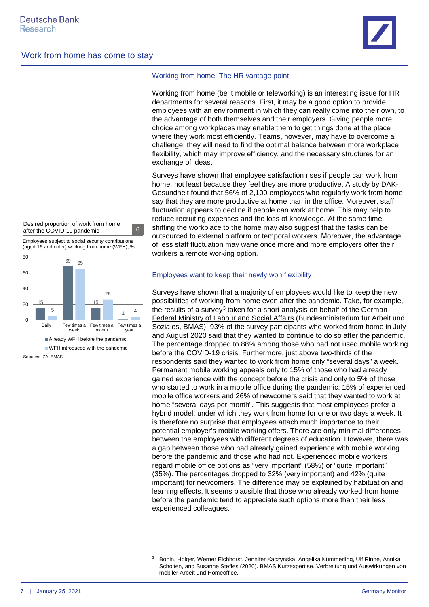

#### Desired proportion of work from home after the COVID-19 pandemic 6

Employees subject to social security contributions (aged 16 and older) working from home (WFH), %



Sources: IZA, BMAS

### Working from home: The HR vantage point

Working from home (be it mobile or teleworking) is an interesting issue for HR departments for several reasons. First, it may be a good option to provide employees with an environment in which they can really come into their own, to the advantage of both themselves and their employers. Giving people more choice among workplaces may enable them to get things done at the place where they work most efficiently. Teams, however, may have to overcome a challenge; they will need to find the optimal balance between more workplace flexibility, which may improve efficiency, and the necessary structures for an exchange of ideas.

Surveys have shown that employee satisfaction rises if people can work from home, not least because they feel they are more productive. A study by DAK-Gesundheit found that 56% of 2,100 employees who regularly work from home say that they are more productive at home than in the office. Moreover, staff fluctuation appears to decline if people can work at home. This may help to reduce recruiting expenses and the loss of knowledge. At the same time, shifting the workplace to the home may also suggest that the tasks can be outsourced to external platform or temporal workers. Moreover, the advantage of less staff fluctuation may wane once more and more employers offer their workers a remote working option.

### Employees want to keep their newly won flexibility

Surveys have shown that a majority of employees would like to keep the new possibilities of working from home even after the pandemic. Take, for example, the results of a survey<sup>[3](#page-6-0)</sup> taken for a short analysis on behalf of the German [Federal Ministry of Labour and Social Affairs](https://www.bmas.de/SharedDocs/Downloads/DE/Thema-Arbeitsrecht/kurzexpertise-homeoffice.pdf;jsessionid=EA9B1D1758589E8328FD4DE1A32A7E8C.delivery2-replication?__blob=publicationFile&v=4) (Bundesministerium für Arbeit und Soziales, BMAS). 93% of the survey participants who worked from home in July and August 2020 said that they wanted to continue to do so after the pandemic. The percentage dropped to 88% among those who had not used mobile working before the COVID-19 crisis. Furthermore, just above two-thirds of the respondents said they wanted to work from home only "several days" a week. Permanent mobile working appeals only to 15% of those who had already gained experience with the concept before the crisis and only to 5% of those who started to work in a mobile office during the pandemic. 15% of experienced mobile office workers and 26% of newcomers said that they wanted to work at home "several days per month". This suggests that most employees prefer a hybrid model, under which they work from home for one or two days a week. It is therefore no surprise that employees attach much importance to their potential employer's mobile working offers. There are only minimal differences between the employees with different degrees of education. However, there was a gap between those who had already gained experience with mobile working before the pandemic and those who had not. Experienced mobile workers regard mobile office options as "very important" (58%) or "quite important" (35%). The percentages dropped to 32% (very important) and 42% (quite important) for newcomers. The difference may be explained by habituation and learning effects. It seems plausible that those who already worked from home before the pandemic tend to appreciate such options more than their less experienced colleagues.

<span id="page-6-0"></span><sup>3</sup> Bonin, Holger, Werner Eichhorst, Jennifer Kaczynska, Angelika Kümmerling, Ulf Rinne, Annika Scholten, and Susanne Steffes (2020). BMAS Kurzexpertise. Verbreitung und Auswirkungen von mobiler Arbeit und Homeoffice.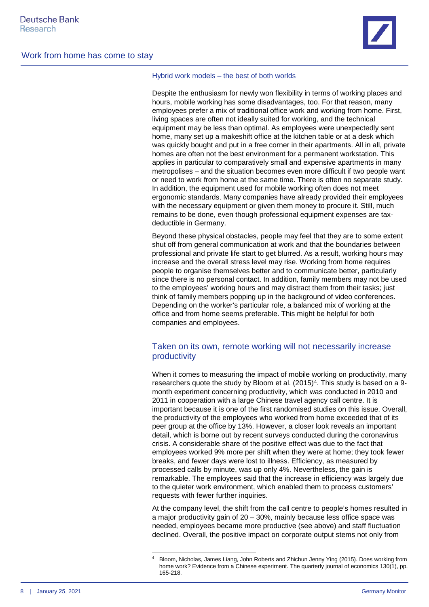



### Hybrid work models – the best of both worlds

Despite the enthusiasm for newly won flexibility in terms of working places and hours, mobile working has some disadvantages, too. For that reason, many employees prefer a mix of traditional office work and working from home. First, living spaces are often not ideally suited for working, and the technical equipment may be less than optimal. As employees were unexpectedly sent home, many set up a makeshift office at the kitchen table or at a desk which was quickly bought and put in a free corner in their apartments. All in all, private homes are often not the best environment for a permanent workstation. This applies in particular to comparatively small and expensive apartments in many metropolises – and the situation becomes even more difficult if two people want or need to work from home at the same time. There is often no separate study. In addition, the equipment used for mobile working often does not meet ergonomic standards. Many companies have already provided their employees with the necessary equipment or given them money to procure it. Still, much remains to be done, even though professional equipment expenses are taxdeductible in Germany.

Beyond these physical obstacles, people may feel that they are to some extent shut off from general communication at work and that the boundaries between professional and private life start to get blurred. As a result, working hours may increase and the overall stress level may rise. Working from home requires people to organise themselves better and to communicate better, particularly since there is no personal contact. In addition, family members may not be used to the employees' working hours and may distract them from their tasks; just think of family members popping up in the background of video conferences. Depending on the worker's particular role, a balanced mix of working at the office and from home seems preferable. This might be helpful for both companies and employees.

# Taken on its own, remote working will not necessarily increase productivity

When it comes to measuring the impact of mobile working on productivity, many researchers quote the study by Bloom et al.  $(2015)^4$ . This study is based on a 9month experiment concerning productivity, which was conducted in 2010 and 2011 in cooperation with a large Chinese travel agency call centre. It is important because it is one of the first randomised studies on this issue. Overall, the productivity of the employees who worked from home exceeded that of its peer group at the office by 13%. However, a closer look reveals an important detail, which is borne out by recent surveys conducted during the coronavirus crisis. A considerable share of the positive effect was due to the fact that employees worked 9% more per shift when they were at home; they took fewer breaks, and fewer days were lost to illness. Efficiency, as measured by processed calls by minute, was up only 4%. Nevertheless, the gain is remarkable. The employees said that the increase in efficiency was largely due to the quieter work environment, which enabled them to process customers' requests with fewer further inquiries.

At the company level, the shift from the call centre to people's homes resulted in a major productivity gain of 20 – 30%, mainly because less office space was needed, employees became more productive (see above) and staff fluctuation declined. Overall, the positive impact on corporate output stems not only from

<span id="page-7-0"></span><sup>4</sup> Bloom, Nicholas, James Liang, John Roberts and Zhichun Jenny Ying (2015). Does working from home work? Evidence from a Chinese experiment. The quarterly journal of economics 130(1), pp. 165-218.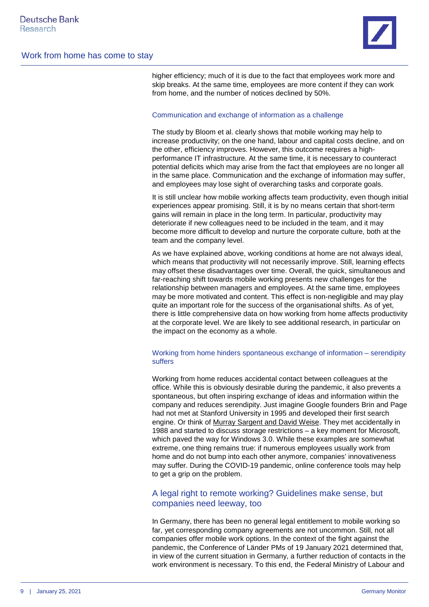higher efficiency; much of it is due to the fact that employees work more and skip breaks. At the same time, employees are more content if they can work from home, and the number of notices declined by 50%.

### Communication and exchange of information as a challenge

The study by Bloom et al. clearly shows that mobile working may help to increase productivity; on the one hand, labour and capital costs decline, and on the other, efficiency improves. However, this outcome requires a highperformance IT infrastructure. At the same time, it is necessary to counteract potential deficits which may arise from the fact that employees are no longer all in the same place. Communication and the exchange of information may suffer, and employees may lose sight of overarching tasks and corporate goals.

It is still unclear how mobile working affects team productivity, even though initial experiences appear promising. Still, it is by no means certain that short-term gains will remain in place in the long term. In particular, productivity may deteriorate if new colleagues need to be included in the team, and it may become more difficult to develop and nurture the corporate culture, both at the team and the company level.

As we have explained above, working conditions at home are not always ideal, which means that productivity will not necessarily improve. Still, learning effects may offset these disadvantages over time. Overall, the quick, simultaneous and far-reaching shift towards mobile working presents new challenges for the relationship between managers and employees. At the same time, employees may be more motivated and content. This effect is non-negligible and may play quite an important role for the success of the organisational shifts. As of yet, there is little comprehensive data on how working from home affects productivity at the corporate level. We are likely to see additional research, in particular on the impact on the economy as a whole.

### Working from home hinders spontaneous exchange of information – serendipity suffers

Working from home reduces accidental contact between colleagues at the office. While this is obviously desirable during the pandemic, it also prevents a spontaneous, but often inspiring exchange of ideas and information within the company and reduces serendipity. Just imagine Google founders Brin and Page had not met at Stanford University in 1995 and developed their first search engine. Or think of [Murray Sargent and David Weise.](https://news.microsoft.com/2000/09/10/i-found-a-cool-little-problem-that-i-just-couldnt-resist-solving/) They met accidentally in 1988 and started to discuss storage restrictions – a key moment for Microsoft, which paved the way for Windows 3.0. While these examples are somewhat extreme, one thing remains true: if numerous employees usually work from home and do not bump into each other anymore, companies' innovativeness may suffer. During the COVID-19 pandemic, online conference tools may help to get a grip on the problem.

## A legal right to remote working? Guidelines make sense, but companies need leeway, too

In Germany, there has been no general legal entitlement to mobile working so far, yet corresponding company agreements are not uncommon. Still, not all companies offer mobile work options. In the context of the fight against the pandemic, the Conference of Länder PMs of 19 January 2021 determined that, in view of the current situation in Germany, a further reduction of contacts in the work environment is necessary. To this end, the Federal Ministry of Labour and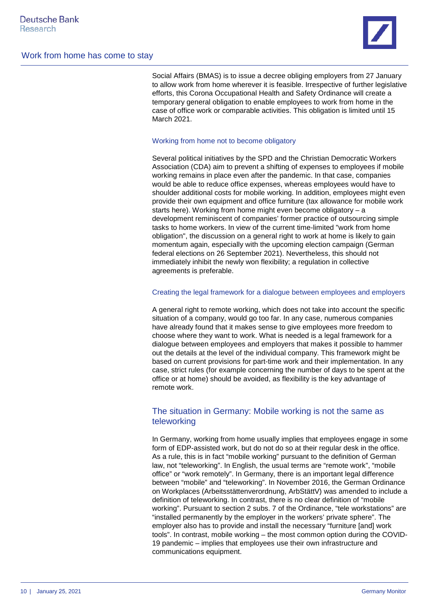

Social Affairs (BMAS) is to issue a decree obliging employers from 27 January to allow work from home wherever it is feasible. Irrespective of further legislative efforts, this Corona Occupational Health and Safety Ordinance will create a temporary general obligation to enable employees to work from home in the case of office work or comparable activities. This obligation is limited until 15 March 2021.

### Working from home not to become obligatory

Several political initiatives by the SPD and the Christian Democratic Workers Association (CDA) aim to prevent a shifting of expenses to employees if mobile working remains in place even after the pandemic. In that case, companies would be able to reduce office expenses, whereas employees would have to shoulder additional costs for mobile working. In addition, employees might even provide their own equipment and office furniture (tax allowance for mobile work starts here). Working from home might even become obligatory – a development reminiscent of companies' former practice of outsourcing simple tasks to home workers. In view of the current time-limited "work from home obligation", the discussion on a general right to work at home is likely to gain momentum again, especially with the upcoming election campaign (German federal elections on 26 September 2021). Nevertheless, this should not immediately inhibit the newly won flexibility; a regulation in collective agreements is preferable.

### Creating the legal framework for a dialogue between employees and employers

A general right to remote working, which does not take into account the specific situation of a company, would go too far. In any case, numerous companies have already found that it makes sense to give employees more freedom to choose where they want to work. What is needed is a legal framework for a dialogue between employees and employers that makes it possible to hammer out the details at the level of the individual company. This framework might be based on current provisions for part-time work and their implementation. In any case, strict rules (for example concerning the number of days to be spent at the office or at home) should be avoided, as flexibility is the key advantage of remote work.

# The situation in Germany: Mobile working is not the same as teleworking

In Germany, working from home usually implies that employees engage in some form of EDP-assisted work, but do not do so at their regular desk in the office. As a rule, this is in fact "mobile working" pursuant to the definition of German law, not "teleworking". In English, the usual terms are "remote work", "mobile office" or "work remotely". In Germany, there is an important legal difference between "mobile" and "teleworking". In November 2016, the German Ordinance on Workplaces (Arbeitsstättenverordnung, ArbStättV) was amended to include a definition of teleworking. In contrast, there is no clear definition of "mobile working". Pursuant to section 2 subs. 7 of the Ordinance, "tele workstations" are "installed permanently by the employer in the workers' private sphere". The employer also has to provide and install the necessary "furniture [and] work tools". In contrast, mobile working – the most common option during the COVID-19 pandemic – implies that employees use their own infrastructure and communications equipment.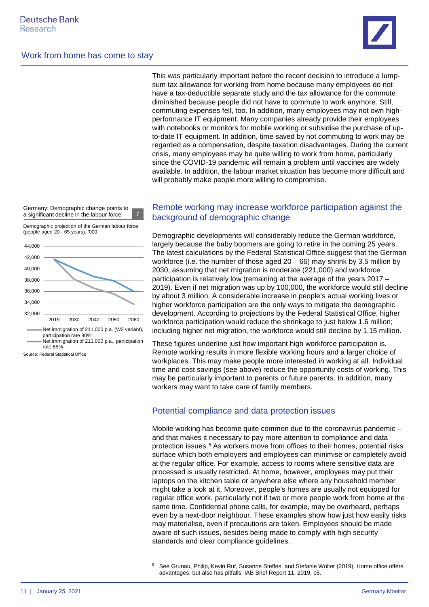

This was particularly important before the recent decision to introduce a lumpsum tax allowance for working from home because many employees do not have a tax-deductible separate study and the tax allowance for the commute diminished because people did not have to commute to work anymore. Still, commuting expenses fell, too. In addition, many employees may not own highperformance IT equipment. Many companies already provide their employees with notebooks or monitors for mobile working or subsidise the purchase of upto-date IT equipment. In addition, time saved by not commuting to work may be regarded as a compensation, despite taxation disadvantages. During the current crisis, many employees may be quite willing to work from home, particularly since the COVID-19 pandemic will remain a problem until vaccines are widely available. In addition, the labour market situation has become more difficult and will probably make people more willing to compromise.

Germany: Demographic change points to a significant decline in the labour force

Demographic projection of the German labour force (people aged 20 - 65 years), '000



Source: Federal Statistical Office

# Remote working may increase workforce participation against the background of demographic change

Demographic developments will considerably reduce the German workforce, largely because the baby boomers are going to retire in the coming 25 years. The latest calculations by the Federal Statistical Office suggest that the German workforce (i.e. the number of those aged  $20 - 66$ ) may shrink by 3.5 million by 2030, assuming that net migration is moderate (221,000) and workforce participation is relatively low (remaining at the average of the years 2017 – 2019). Even if net migration was up by 100,000, the workforce would still decline by about 3 million. A considerable increase in people's actual working lives or higher workforce participation are the only ways to mitigate the demographic development. According to projections by the Federal Statistical Office, higher workforce participation would reduce the shrinkage to just below 1.6 million; including higher net migration, the workforce would still decline by 1.15 million.

These figures underline just how important high workforce participation is. Remote working results in more flexible working hours and a larger choice of workplaces. This may make people more interested in working at all. Individual time and cost savings (see above) reduce the opportunity costs of working. This may be particularly important to parents or future parents. In addition, many workers may want to take care of family members.

# Potential compliance and data protection issues

Mobile working has become quite common due to the coronavirus pandemic – and that makes it necessary to pay more attention to compliance and data protection issues.[5](#page-10-0) As workers move from offices to their homes, potential risks surface which both employers and employees can minimise or completely avoid at the regular office. For example, access to rooms where sensitive data are processed is usually restricted. At home, however, employees may put their laptops on the kitchen table or anywhere else where any household member might take a look at it. Moreover, people's homes are usually not equipped for regular office work, particularly not if two or more people work from home at the same time. Confidential phone calls, for example, may be overheard, perhaps even by a next-door neighbour. These examples show how just how easily risks may materialise, even if precautions are taken. Employees should be made aware of such issues, besides being made to comply with high security standards and clear compliance guidelines.

<span id="page-10-0"></span><sup>5</sup> See Grunau, Philip, Kevin Ruf, Susanne Steffes, and Stefanie Wolter (2019). Home office offers advantages, but also has pitfalls. IAB Brief Report 11, 2019, p5.